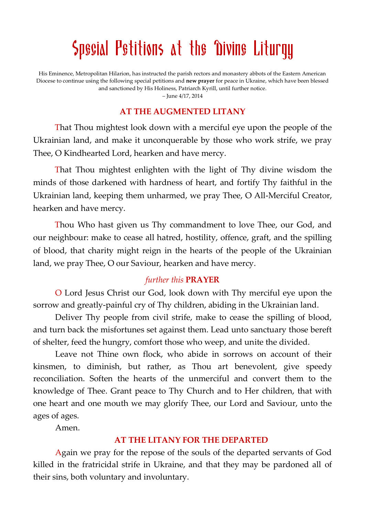# Special Petitions at the Divine Lituryy

His Eminence, Metropolitan Hilarion, has instructed the parish rectors and monastery abbots of the Eastern American Diocese to continue using the following special petitions and **new prayer** for peace in Ukraine, which have been blessed and sanctioned by His Holiness, Patriarch Kyrill, until further notice.

– June 4/17, 2014

### **AT THE AUGMENTED LITANY**

That Thou mightest look down with a merciful eye upon the people of the Ukrainian land, and make it unconquerable by those who work strife, we pray Thee, O Kindhearted Lord, hearken and have mercy.

That Thou mightest enlighten with the light of Thy divine wisdom the minds of those darkened with hardness of heart, and fortify Thy faithful in the Ukrainian land, keeping them unharmed, we pray Thee, O All-Merciful Creator, hearken and have mercy.

Thou Who hast given us Thy commandment to love Thee, our God, and our neighbour: make to cease all hatred, hostility, offence, graft, and the spilling of blood, that charity might reign in the hearts of the people of the Ukrainian land, we pray Thee, O our Saviour, hearken and have mercy.

## *further this* **PRAYER**

O Lord Jesus Christ our God, look down with Thy merciful eye upon the sorrow and greatly-painful cry of Thy children, abiding in the Ukrainian land.

Deliver Thy people from civil strife, make to cease the spilling of blood, and turn back the misfortunes set against them. Lead unto sanctuary those bereft of shelter, feed the hungry, comfort those who weep, and unite the divided.

Leave not Thine own flock, who abide in sorrows on account of their kinsmen, to diminish, but rather, as Thou art benevolent, give speedy reconciliation. Soften the hearts of the unmerciful and convert them to the knowledge of Thee. Grant peace to Thy Church and to Her children, that with one heart and one mouth we may glorify Thee, our Lord and Saviour, unto the ages of ages.

Amen.

## **AT THE LITANY FOR THE DEPARTED**

Again we pray for the repose of the souls of the departed servants of God killed in the fratricidal strife in Ukraine, and that they may be pardoned all of their sins, both voluntary and involuntary.